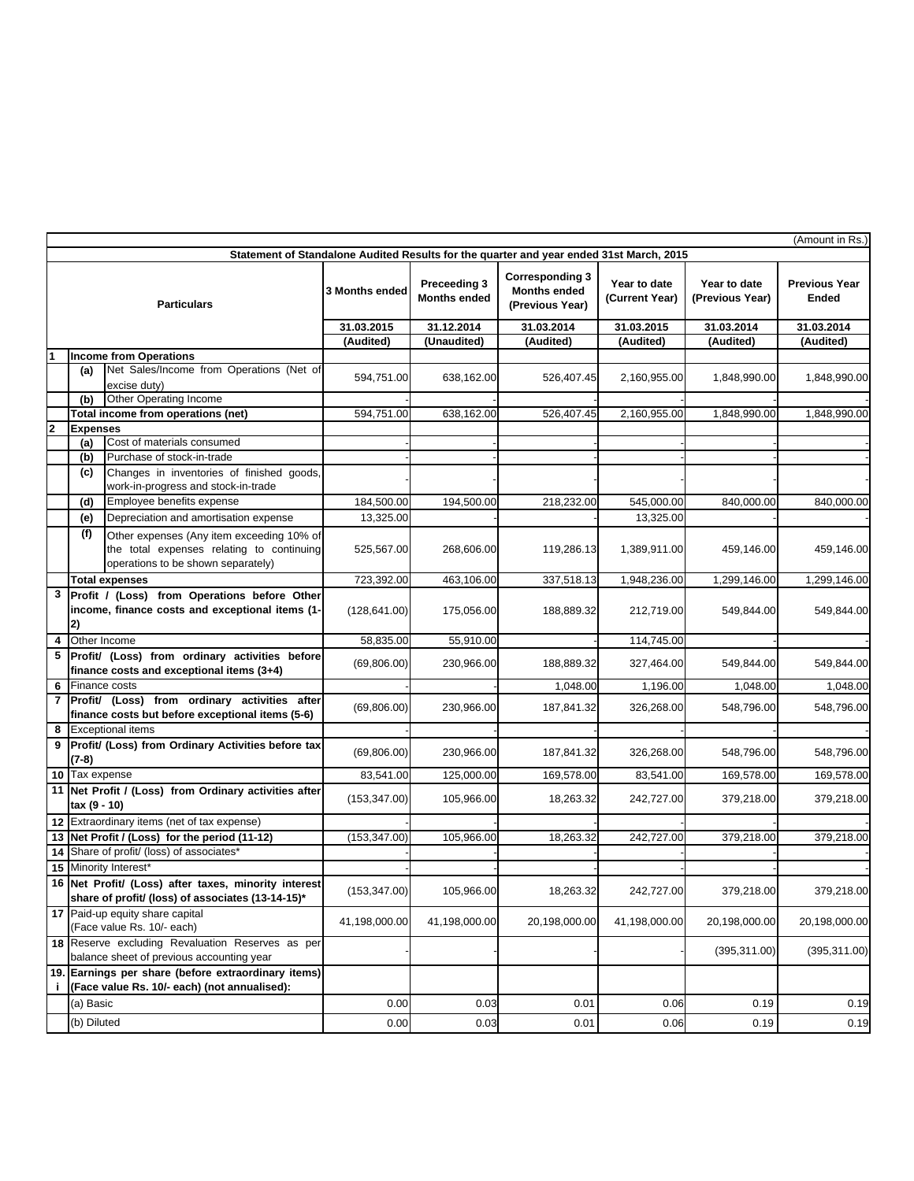| Statement of Standalone Audited Results for the quarter and year ended 31st March, 2015<br><b>Corresponding 3</b><br>Preceeding 3<br>Year to date<br>Year to date<br><b>Previous Year</b><br><b>Months ended</b><br><b>3 Months ended</b><br><b>Months ended</b><br>(Current Year)<br>(Previous Year)<br>Ended<br><b>Particulars</b><br>(Previous Year)<br>31.03.2015<br>31.12.2014<br>31.03.2014<br>31.03.2015<br>31.03.2014<br>31.03.2014<br>(Audited)<br>(Unaudited)<br>(Audited)<br>(Audited)<br>(Audited)<br>(Audited)<br><b>Income from Operations</b><br>1<br>Net Sales/Income from Operations (Net of<br>(a)<br>594,751.00<br>638,162.00<br>526,407.45<br>2,160,955.00<br>1,848,990.00<br>excise duty)<br>Other Operating Income<br>(b)<br>Total income from operations (net)<br>594,751.00<br>638,162.00<br>526,407.45<br>2,160,955.00<br>1,848,990.00<br>2<br><b>Expenses</b><br>Cost of materials consumed<br>(a)<br>Purchase of stock-in-trade<br>(b)<br>Changes in inventories of finished goods,<br>(c)<br>work-in-progress and stock-in-trade<br>184,500.00<br>(d)<br>Employee benefits expense<br>194,500.00<br>218,232.00<br>545,000.00<br>840,000.00<br>840,000.00<br>Depreciation and amortisation expense<br>13,325.00<br>13,325.00<br>(e)<br>(f)<br>Other expenses (Any item exceeding 10% of<br>the total expenses relating to continuing<br>525,567.00<br>268,606.00<br>119,286.13<br>1,389,911.00<br>459,146.00<br>operations to be shown separately)<br><b>Total expenses</b><br>723,392.00<br>463,106.00<br>337,518.13<br>1,948,236.00<br>1,299,146.00<br>3<br>Profit / (Loss) from Operations before Other<br>income, finance costs and exceptional items (1-<br>(128, 641.00)<br>188,889.32<br>212,719.00<br>549,844.00<br>175,056.00<br>2)<br>Other Income<br>4<br>58,835.00<br>55,910.00<br>114,745.00<br>5<br>Profit/ (Loss) from ordinary activities before<br>(69, 806.00)<br>230,966.00<br>188,889.32<br>327,464.00<br>549,844.00<br>finance costs and exceptional items (3+4)<br>Finance costs<br>6<br>1,048.00<br>1,048.00<br>1,196.00<br>Profit/ (Loss) from ordinary activities<br>$\overline{7}$<br>after<br>(69, 806.00)<br>230,966.00<br>548,796.00<br>548,796.00<br>187,841.32<br>326,268.00<br>finance costs but before exceptional items (5-6)<br>8<br><b>Exceptional items</b><br>Profit/ (Loss) from Ordinary Activities before tax<br>9<br>(69, 806.00)<br>230,966.00<br>187,841.32<br>326,268.00<br>548,796.00<br>(7-8)<br>10 Tax expense<br>83,541.00<br>125,000.00<br>169,578.00<br>83,541.00<br>169,578.00<br>11 Net Profit / (Loss) from Ordinary activities after<br>(153, 347.00)<br>105,966.00<br>18,263.32<br>242,727.00<br>379,218.00<br>tax (9 - 10)<br>12 Extraordinary items (net of tax expense)<br>13 Net Profit / (Loss) for the period (11-12)<br>(153, 347.00)<br>105,966.00<br>18,263.32<br>242,727.00<br>379,218.00<br>14 Share of profit/ (loss) of associates*<br>15 Minority Interest*<br>16 Net Profit/ (Loss) after taxes, minority interest<br>(153, 347.00)<br>105,966.00<br>18,263.32<br>379,218.00<br>242,727.00<br>share of profit/ (loss) of associates (13-14-15)*<br>17 Paid-up equity share capital<br>41,198,000.00<br>41,198,000.00<br>20,198,000.00<br>41,198,000.00<br>20,198,000.00<br>(Face value Rs. 10/- each)<br>18 Reserve excluding Revaluation Reserves as per<br>(395, 311.00)<br>balance sheet of previous accounting year<br>19. Earnings per share (before extraordinary items)<br>(Face value Rs. 10/- each) (not annualised):<br>j.<br>(a) Basic<br>0.00<br>0.03<br>0.01<br>0.06<br>0.19<br>0.00<br>(b) Diluted<br>0.03<br>0.01<br>0.06<br>0.19 |  |  |  |  |  |  |  |  | (Amount in Rs.) |
|----------------------------------------------------------------------------------------------------------------------------------------------------------------------------------------------------------------------------------------------------------------------------------------------------------------------------------------------------------------------------------------------------------------------------------------------------------------------------------------------------------------------------------------------------------------------------------------------------------------------------------------------------------------------------------------------------------------------------------------------------------------------------------------------------------------------------------------------------------------------------------------------------------------------------------------------------------------------------------------------------------------------------------------------------------------------------------------------------------------------------------------------------------------------------------------------------------------------------------------------------------------------------------------------------------------------------------------------------------------------------------------------------------------------------------------------------------------------------------------------------------------------------------------------------------------------------------------------------------------------------------------------------------------------------------------------------------------------------------------------------------------------------------------------------------------------------------------------------------------------------------------------------------------------------------------------------------------------------------------------------------------------------------------------------------------------------------------------------------------------------------------------------------------------------------------------------------------------------------------------------------------------------------------------------------------------------------------------------------------------------------------------------------------------------------------------------------------------------------------------------------------------------------------------------------------------------------------------------------------------------------------------------------------------------------------------------------------------------------------------------------------------------------------------------------------------------------------------------------------------------------------------------------------------------------------------------------------------------------------------------------------------------------------------------------------------------------------------------------------------------------------------------------------------------------------------------------------------------------------------------------------------------------------------------------------------------------------------------------------------------------------------------------------------------------------------------------------------------------------------------------------------------------------------------------------------------------------------------------------------------------------------------|--|--|--|--|--|--|--|--|-----------------|
|                                                                                                                                                                                                                                                                                                                                                                                                                                                                                                                                                                                                                                                                                                                                                                                                                                                                                                                                                                                                                                                                                                                                                                                                                                                                                                                                                                                                                                                                                                                                                                                                                                                                                                                                                                                                                                                                                                                                                                                                                                                                                                                                                                                                                                                                                                                                                                                                                                                                                                                                                                                                                                                                                                                                                                                                                                                                                                                                                                                                                                                                                                                                                                                                                                                                                                                                                                                                                                                                                                                                                                                                                                                    |  |  |  |  |  |  |  |  |                 |
|                                                                                                                                                                                                                                                                                                                                                                                                                                                                                                                                                                                                                                                                                                                                                                                                                                                                                                                                                                                                                                                                                                                                                                                                                                                                                                                                                                                                                                                                                                                                                                                                                                                                                                                                                                                                                                                                                                                                                                                                                                                                                                                                                                                                                                                                                                                                                                                                                                                                                                                                                                                                                                                                                                                                                                                                                                                                                                                                                                                                                                                                                                                                                                                                                                                                                                                                                                                                                                                                                                                                                                                                                                                    |  |  |  |  |  |  |  |  |                 |
|                                                                                                                                                                                                                                                                                                                                                                                                                                                                                                                                                                                                                                                                                                                                                                                                                                                                                                                                                                                                                                                                                                                                                                                                                                                                                                                                                                                                                                                                                                                                                                                                                                                                                                                                                                                                                                                                                                                                                                                                                                                                                                                                                                                                                                                                                                                                                                                                                                                                                                                                                                                                                                                                                                                                                                                                                                                                                                                                                                                                                                                                                                                                                                                                                                                                                                                                                                                                                                                                                                                                                                                                                                                    |  |  |  |  |  |  |  |  |                 |
|                                                                                                                                                                                                                                                                                                                                                                                                                                                                                                                                                                                                                                                                                                                                                                                                                                                                                                                                                                                                                                                                                                                                                                                                                                                                                                                                                                                                                                                                                                                                                                                                                                                                                                                                                                                                                                                                                                                                                                                                                                                                                                                                                                                                                                                                                                                                                                                                                                                                                                                                                                                                                                                                                                                                                                                                                                                                                                                                                                                                                                                                                                                                                                                                                                                                                                                                                                                                                                                                                                                                                                                                                                                    |  |  |  |  |  |  |  |  |                 |
|                                                                                                                                                                                                                                                                                                                                                                                                                                                                                                                                                                                                                                                                                                                                                                                                                                                                                                                                                                                                                                                                                                                                                                                                                                                                                                                                                                                                                                                                                                                                                                                                                                                                                                                                                                                                                                                                                                                                                                                                                                                                                                                                                                                                                                                                                                                                                                                                                                                                                                                                                                                                                                                                                                                                                                                                                                                                                                                                                                                                                                                                                                                                                                                                                                                                                                                                                                                                                                                                                                                                                                                                                                                    |  |  |  |  |  |  |  |  |                 |
|                                                                                                                                                                                                                                                                                                                                                                                                                                                                                                                                                                                                                                                                                                                                                                                                                                                                                                                                                                                                                                                                                                                                                                                                                                                                                                                                                                                                                                                                                                                                                                                                                                                                                                                                                                                                                                                                                                                                                                                                                                                                                                                                                                                                                                                                                                                                                                                                                                                                                                                                                                                                                                                                                                                                                                                                                                                                                                                                                                                                                                                                                                                                                                                                                                                                                                                                                                                                                                                                                                                                                                                                                                                    |  |  |  |  |  |  |  |  | 1,848,990.00    |
|                                                                                                                                                                                                                                                                                                                                                                                                                                                                                                                                                                                                                                                                                                                                                                                                                                                                                                                                                                                                                                                                                                                                                                                                                                                                                                                                                                                                                                                                                                                                                                                                                                                                                                                                                                                                                                                                                                                                                                                                                                                                                                                                                                                                                                                                                                                                                                                                                                                                                                                                                                                                                                                                                                                                                                                                                                                                                                                                                                                                                                                                                                                                                                                                                                                                                                                                                                                                                                                                                                                                                                                                                                                    |  |  |  |  |  |  |  |  |                 |
|                                                                                                                                                                                                                                                                                                                                                                                                                                                                                                                                                                                                                                                                                                                                                                                                                                                                                                                                                                                                                                                                                                                                                                                                                                                                                                                                                                                                                                                                                                                                                                                                                                                                                                                                                                                                                                                                                                                                                                                                                                                                                                                                                                                                                                                                                                                                                                                                                                                                                                                                                                                                                                                                                                                                                                                                                                                                                                                                                                                                                                                                                                                                                                                                                                                                                                                                                                                                                                                                                                                                                                                                                                                    |  |  |  |  |  |  |  |  | 1,848,990.00    |
|                                                                                                                                                                                                                                                                                                                                                                                                                                                                                                                                                                                                                                                                                                                                                                                                                                                                                                                                                                                                                                                                                                                                                                                                                                                                                                                                                                                                                                                                                                                                                                                                                                                                                                                                                                                                                                                                                                                                                                                                                                                                                                                                                                                                                                                                                                                                                                                                                                                                                                                                                                                                                                                                                                                                                                                                                                                                                                                                                                                                                                                                                                                                                                                                                                                                                                                                                                                                                                                                                                                                                                                                                                                    |  |  |  |  |  |  |  |  |                 |
|                                                                                                                                                                                                                                                                                                                                                                                                                                                                                                                                                                                                                                                                                                                                                                                                                                                                                                                                                                                                                                                                                                                                                                                                                                                                                                                                                                                                                                                                                                                                                                                                                                                                                                                                                                                                                                                                                                                                                                                                                                                                                                                                                                                                                                                                                                                                                                                                                                                                                                                                                                                                                                                                                                                                                                                                                                                                                                                                                                                                                                                                                                                                                                                                                                                                                                                                                                                                                                                                                                                                                                                                                                                    |  |  |  |  |  |  |  |  |                 |
|                                                                                                                                                                                                                                                                                                                                                                                                                                                                                                                                                                                                                                                                                                                                                                                                                                                                                                                                                                                                                                                                                                                                                                                                                                                                                                                                                                                                                                                                                                                                                                                                                                                                                                                                                                                                                                                                                                                                                                                                                                                                                                                                                                                                                                                                                                                                                                                                                                                                                                                                                                                                                                                                                                                                                                                                                                                                                                                                                                                                                                                                                                                                                                                                                                                                                                                                                                                                                                                                                                                                                                                                                                                    |  |  |  |  |  |  |  |  |                 |
|                                                                                                                                                                                                                                                                                                                                                                                                                                                                                                                                                                                                                                                                                                                                                                                                                                                                                                                                                                                                                                                                                                                                                                                                                                                                                                                                                                                                                                                                                                                                                                                                                                                                                                                                                                                                                                                                                                                                                                                                                                                                                                                                                                                                                                                                                                                                                                                                                                                                                                                                                                                                                                                                                                                                                                                                                                                                                                                                                                                                                                                                                                                                                                                                                                                                                                                                                                                                                                                                                                                                                                                                                                                    |  |  |  |  |  |  |  |  |                 |
|                                                                                                                                                                                                                                                                                                                                                                                                                                                                                                                                                                                                                                                                                                                                                                                                                                                                                                                                                                                                                                                                                                                                                                                                                                                                                                                                                                                                                                                                                                                                                                                                                                                                                                                                                                                                                                                                                                                                                                                                                                                                                                                                                                                                                                                                                                                                                                                                                                                                                                                                                                                                                                                                                                                                                                                                                                                                                                                                                                                                                                                                                                                                                                                                                                                                                                                                                                                                                                                                                                                                                                                                                                                    |  |  |  |  |  |  |  |  |                 |
|                                                                                                                                                                                                                                                                                                                                                                                                                                                                                                                                                                                                                                                                                                                                                                                                                                                                                                                                                                                                                                                                                                                                                                                                                                                                                                                                                                                                                                                                                                                                                                                                                                                                                                                                                                                                                                                                                                                                                                                                                                                                                                                                                                                                                                                                                                                                                                                                                                                                                                                                                                                                                                                                                                                                                                                                                                                                                                                                                                                                                                                                                                                                                                                                                                                                                                                                                                                                                                                                                                                                                                                                                                                    |  |  |  |  |  |  |  |  |                 |
|                                                                                                                                                                                                                                                                                                                                                                                                                                                                                                                                                                                                                                                                                                                                                                                                                                                                                                                                                                                                                                                                                                                                                                                                                                                                                                                                                                                                                                                                                                                                                                                                                                                                                                                                                                                                                                                                                                                                                                                                                                                                                                                                                                                                                                                                                                                                                                                                                                                                                                                                                                                                                                                                                                                                                                                                                                                                                                                                                                                                                                                                                                                                                                                                                                                                                                                                                                                                                                                                                                                                                                                                                                                    |  |  |  |  |  |  |  |  | 459,146.00      |
|                                                                                                                                                                                                                                                                                                                                                                                                                                                                                                                                                                                                                                                                                                                                                                                                                                                                                                                                                                                                                                                                                                                                                                                                                                                                                                                                                                                                                                                                                                                                                                                                                                                                                                                                                                                                                                                                                                                                                                                                                                                                                                                                                                                                                                                                                                                                                                                                                                                                                                                                                                                                                                                                                                                                                                                                                                                                                                                                                                                                                                                                                                                                                                                                                                                                                                                                                                                                                                                                                                                                                                                                                                                    |  |  |  |  |  |  |  |  | 1,299,146.00    |
|                                                                                                                                                                                                                                                                                                                                                                                                                                                                                                                                                                                                                                                                                                                                                                                                                                                                                                                                                                                                                                                                                                                                                                                                                                                                                                                                                                                                                                                                                                                                                                                                                                                                                                                                                                                                                                                                                                                                                                                                                                                                                                                                                                                                                                                                                                                                                                                                                                                                                                                                                                                                                                                                                                                                                                                                                                                                                                                                                                                                                                                                                                                                                                                                                                                                                                                                                                                                                                                                                                                                                                                                                                                    |  |  |  |  |  |  |  |  |                 |
|                                                                                                                                                                                                                                                                                                                                                                                                                                                                                                                                                                                                                                                                                                                                                                                                                                                                                                                                                                                                                                                                                                                                                                                                                                                                                                                                                                                                                                                                                                                                                                                                                                                                                                                                                                                                                                                                                                                                                                                                                                                                                                                                                                                                                                                                                                                                                                                                                                                                                                                                                                                                                                                                                                                                                                                                                                                                                                                                                                                                                                                                                                                                                                                                                                                                                                                                                                                                                                                                                                                                                                                                                                                    |  |  |  |  |  |  |  |  | 549,844.00      |
|                                                                                                                                                                                                                                                                                                                                                                                                                                                                                                                                                                                                                                                                                                                                                                                                                                                                                                                                                                                                                                                                                                                                                                                                                                                                                                                                                                                                                                                                                                                                                                                                                                                                                                                                                                                                                                                                                                                                                                                                                                                                                                                                                                                                                                                                                                                                                                                                                                                                                                                                                                                                                                                                                                                                                                                                                                                                                                                                                                                                                                                                                                                                                                                                                                                                                                                                                                                                                                                                                                                                                                                                                                                    |  |  |  |  |  |  |  |  |                 |
|                                                                                                                                                                                                                                                                                                                                                                                                                                                                                                                                                                                                                                                                                                                                                                                                                                                                                                                                                                                                                                                                                                                                                                                                                                                                                                                                                                                                                                                                                                                                                                                                                                                                                                                                                                                                                                                                                                                                                                                                                                                                                                                                                                                                                                                                                                                                                                                                                                                                                                                                                                                                                                                                                                                                                                                                                                                                                                                                                                                                                                                                                                                                                                                                                                                                                                                                                                                                                                                                                                                                                                                                                                                    |  |  |  |  |  |  |  |  | 549,844.00      |
|                                                                                                                                                                                                                                                                                                                                                                                                                                                                                                                                                                                                                                                                                                                                                                                                                                                                                                                                                                                                                                                                                                                                                                                                                                                                                                                                                                                                                                                                                                                                                                                                                                                                                                                                                                                                                                                                                                                                                                                                                                                                                                                                                                                                                                                                                                                                                                                                                                                                                                                                                                                                                                                                                                                                                                                                                                                                                                                                                                                                                                                                                                                                                                                                                                                                                                                                                                                                                                                                                                                                                                                                                                                    |  |  |  |  |  |  |  |  | 1,048.00        |
|                                                                                                                                                                                                                                                                                                                                                                                                                                                                                                                                                                                                                                                                                                                                                                                                                                                                                                                                                                                                                                                                                                                                                                                                                                                                                                                                                                                                                                                                                                                                                                                                                                                                                                                                                                                                                                                                                                                                                                                                                                                                                                                                                                                                                                                                                                                                                                                                                                                                                                                                                                                                                                                                                                                                                                                                                                                                                                                                                                                                                                                                                                                                                                                                                                                                                                                                                                                                                                                                                                                                                                                                                                                    |  |  |  |  |  |  |  |  |                 |
|                                                                                                                                                                                                                                                                                                                                                                                                                                                                                                                                                                                                                                                                                                                                                                                                                                                                                                                                                                                                                                                                                                                                                                                                                                                                                                                                                                                                                                                                                                                                                                                                                                                                                                                                                                                                                                                                                                                                                                                                                                                                                                                                                                                                                                                                                                                                                                                                                                                                                                                                                                                                                                                                                                                                                                                                                                                                                                                                                                                                                                                                                                                                                                                                                                                                                                                                                                                                                                                                                                                                                                                                                                                    |  |  |  |  |  |  |  |  |                 |
|                                                                                                                                                                                                                                                                                                                                                                                                                                                                                                                                                                                                                                                                                                                                                                                                                                                                                                                                                                                                                                                                                                                                                                                                                                                                                                                                                                                                                                                                                                                                                                                                                                                                                                                                                                                                                                                                                                                                                                                                                                                                                                                                                                                                                                                                                                                                                                                                                                                                                                                                                                                                                                                                                                                                                                                                                                                                                                                                                                                                                                                                                                                                                                                                                                                                                                                                                                                                                                                                                                                                                                                                                                                    |  |  |  |  |  |  |  |  |                 |
|                                                                                                                                                                                                                                                                                                                                                                                                                                                                                                                                                                                                                                                                                                                                                                                                                                                                                                                                                                                                                                                                                                                                                                                                                                                                                                                                                                                                                                                                                                                                                                                                                                                                                                                                                                                                                                                                                                                                                                                                                                                                                                                                                                                                                                                                                                                                                                                                                                                                                                                                                                                                                                                                                                                                                                                                                                                                                                                                                                                                                                                                                                                                                                                                                                                                                                                                                                                                                                                                                                                                                                                                                                                    |  |  |  |  |  |  |  |  | 548,796.00      |
|                                                                                                                                                                                                                                                                                                                                                                                                                                                                                                                                                                                                                                                                                                                                                                                                                                                                                                                                                                                                                                                                                                                                                                                                                                                                                                                                                                                                                                                                                                                                                                                                                                                                                                                                                                                                                                                                                                                                                                                                                                                                                                                                                                                                                                                                                                                                                                                                                                                                                                                                                                                                                                                                                                                                                                                                                                                                                                                                                                                                                                                                                                                                                                                                                                                                                                                                                                                                                                                                                                                                                                                                                                                    |  |  |  |  |  |  |  |  | 169,578.00      |
|                                                                                                                                                                                                                                                                                                                                                                                                                                                                                                                                                                                                                                                                                                                                                                                                                                                                                                                                                                                                                                                                                                                                                                                                                                                                                                                                                                                                                                                                                                                                                                                                                                                                                                                                                                                                                                                                                                                                                                                                                                                                                                                                                                                                                                                                                                                                                                                                                                                                                                                                                                                                                                                                                                                                                                                                                                                                                                                                                                                                                                                                                                                                                                                                                                                                                                                                                                                                                                                                                                                                                                                                                                                    |  |  |  |  |  |  |  |  | 379,218.00      |
|                                                                                                                                                                                                                                                                                                                                                                                                                                                                                                                                                                                                                                                                                                                                                                                                                                                                                                                                                                                                                                                                                                                                                                                                                                                                                                                                                                                                                                                                                                                                                                                                                                                                                                                                                                                                                                                                                                                                                                                                                                                                                                                                                                                                                                                                                                                                                                                                                                                                                                                                                                                                                                                                                                                                                                                                                                                                                                                                                                                                                                                                                                                                                                                                                                                                                                                                                                                                                                                                                                                                                                                                                                                    |  |  |  |  |  |  |  |  |                 |
|                                                                                                                                                                                                                                                                                                                                                                                                                                                                                                                                                                                                                                                                                                                                                                                                                                                                                                                                                                                                                                                                                                                                                                                                                                                                                                                                                                                                                                                                                                                                                                                                                                                                                                                                                                                                                                                                                                                                                                                                                                                                                                                                                                                                                                                                                                                                                                                                                                                                                                                                                                                                                                                                                                                                                                                                                                                                                                                                                                                                                                                                                                                                                                                                                                                                                                                                                                                                                                                                                                                                                                                                                                                    |  |  |  |  |  |  |  |  | 379,218.00      |
|                                                                                                                                                                                                                                                                                                                                                                                                                                                                                                                                                                                                                                                                                                                                                                                                                                                                                                                                                                                                                                                                                                                                                                                                                                                                                                                                                                                                                                                                                                                                                                                                                                                                                                                                                                                                                                                                                                                                                                                                                                                                                                                                                                                                                                                                                                                                                                                                                                                                                                                                                                                                                                                                                                                                                                                                                                                                                                                                                                                                                                                                                                                                                                                                                                                                                                                                                                                                                                                                                                                                                                                                                                                    |  |  |  |  |  |  |  |  |                 |
|                                                                                                                                                                                                                                                                                                                                                                                                                                                                                                                                                                                                                                                                                                                                                                                                                                                                                                                                                                                                                                                                                                                                                                                                                                                                                                                                                                                                                                                                                                                                                                                                                                                                                                                                                                                                                                                                                                                                                                                                                                                                                                                                                                                                                                                                                                                                                                                                                                                                                                                                                                                                                                                                                                                                                                                                                                                                                                                                                                                                                                                                                                                                                                                                                                                                                                                                                                                                                                                                                                                                                                                                                                                    |  |  |  |  |  |  |  |  |                 |
|                                                                                                                                                                                                                                                                                                                                                                                                                                                                                                                                                                                                                                                                                                                                                                                                                                                                                                                                                                                                                                                                                                                                                                                                                                                                                                                                                                                                                                                                                                                                                                                                                                                                                                                                                                                                                                                                                                                                                                                                                                                                                                                                                                                                                                                                                                                                                                                                                                                                                                                                                                                                                                                                                                                                                                                                                                                                                                                                                                                                                                                                                                                                                                                                                                                                                                                                                                                                                                                                                                                                                                                                                                                    |  |  |  |  |  |  |  |  | 379,218.00      |
|                                                                                                                                                                                                                                                                                                                                                                                                                                                                                                                                                                                                                                                                                                                                                                                                                                                                                                                                                                                                                                                                                                                                                                                                                                                                                                                                                                                                                                                                                                                                                                                                                                                                                                                                                                                                                                                                                                                                                                                                                                                                                                                                                                                                                                                                                                                                                                                                                                                                                                                                                                                                                                                                                                                                                                                                                                                                                                                                                                                                                                                                                                                                                                                                                                                                                                                                                                                                                                                                                                                                                                                                                                                    |  |  |  |  |  |  |  |  | 20,198,000.00   |
|                                                                                                                                                                                                                                                                                                                                                                                                                                                                                                                                                                                                                                                                                                                                                                                                                                                                                                                                                                                                                                                                                                                                                                                                                                                                                                                                                                                                                                                                                                                                                                                                                                                                                                                                                                                                                                                                                                                                                                                                                                                                                                                                                                                                                                                                                                                                                                                                                                                                                                                                                                                                                                                                                                                                                                                                                                                                                                                                                                                                                                                                                                                                                                                                                                                                                                                                                                                                                                                                                                                                                                                                                                                    |  |  |  |  |  |  |  |  | (395, 311.00)   |
|                                                                                                                                                                                                                                                                                                                                                                                                                                                                                                                                                                                                                                                                                                                                                                                                                                                                                                                                                                                                                                                                                                                                                                                                                                                                                                                                                                                                                                                                                                                                                                                                                                                                                                                                                                                                                                                                                                                                                                                                                                                                                                                                                                                                                                                                                                                                                                                                                                                                                                                                                                                                                                                                                                                                                                                                                                                                                                                                                                                                                                                                                                                                                                                                                                                                                                                                                                                                                                                                                                                                                                                                                                                    |  |  |  |  |  |  |  |  |                 |
|                                                                                                                                                                                                                                                                                                                                                                                                                                                                                                                                                                                                                                                                                                                                                                                                                                                                                                                                                                                                                                                                                                                                                                                                                                                                                                                                                                                                                                                                                                                                                                                                                                                                                                                                                                                                                                                                                                                                                                                                                                                                                                                                                                                                                                                                                                                                                                                                                                                                                                                                                                                                                                                                                                                                                                                                                                                                                                                                                                                                                                                                                                                                                                                                                                                                                                                                                                                                                                                                                                                                                                                                                                                    |  |  |  |  |  |  |  |  | 0.19            |
|                                                                                                                                                                                                                                                                                                                                                                                                                                                                                                                                                                                                                                                                                                                                                                                                                                                                                                                                                                                                                                                                                                                                                                                                                                                                                                                                                                                                                                                                                                                                                                                                                                                                                                                                                                                                                                                                                                                                                                                                                                                                                                                                                                                                                                                                                                                                                                                                                                                                                                                                                                                                                                                                                                                                                                                                                                                                                                                                                                                                                                                                                                                                                                                                                                                                                                                                                                                                                                                                                                                                                                                                                                                    |  |  |  |  |  |  |  |  | 0.19            |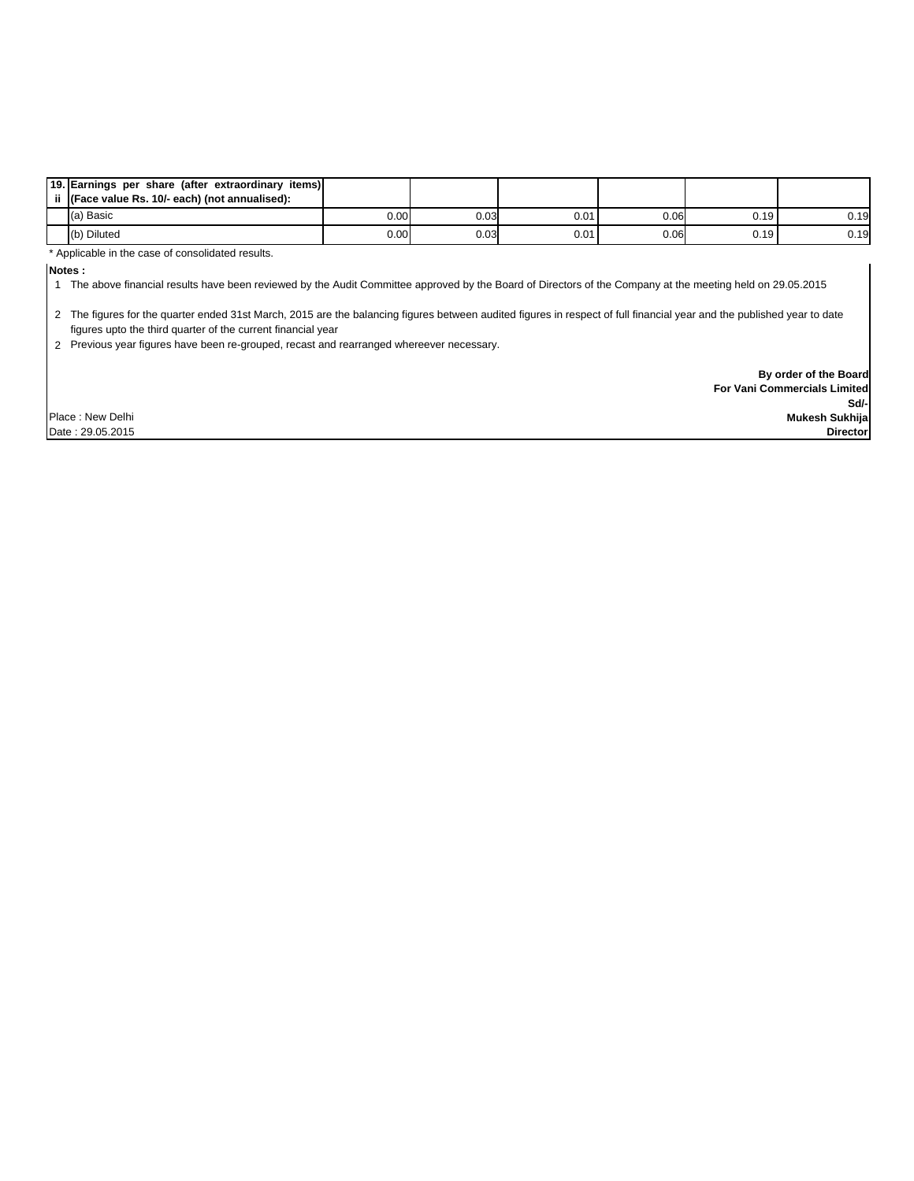| 19. Earnings per share (after extraordinary items)<br>ii (Face value Rs. 10/- each) (not annualised): |      |      |      |      |      |      |
|-------------------------------------------------------------------------------------------------------|------|------|------|------|------|------|
| (a) Basic                                                                                             | 0.00 | 0.03 | 0.01 | 0.06 | 0.19 | 0.19 |
| (b) Diluted                                                                                           | 0.00 | 0.03 | 0.01 | 0.06 | 0.19 | 0.19 |

\* Applicable in the case of consolidated results.

**Notes :**

1 The above financial results have been reviewed by the Audit Committee approved by the Board of Directors of the Company at the meeting held on 29.05.2015

2 The figures for the quarter ended 31st March, 2015 are the balancing figures between audited figures in respect of full financial year and the published year to date figures upto the third quarter of the current financial year

2 Previous year figures have been re-grouped, recast and rearranged whereever necessary.

**Sd/- By order of the Board For Vani Commercials Limited Mukesh Sukhija Director**

Place : New Delhi Date : 29.05.2015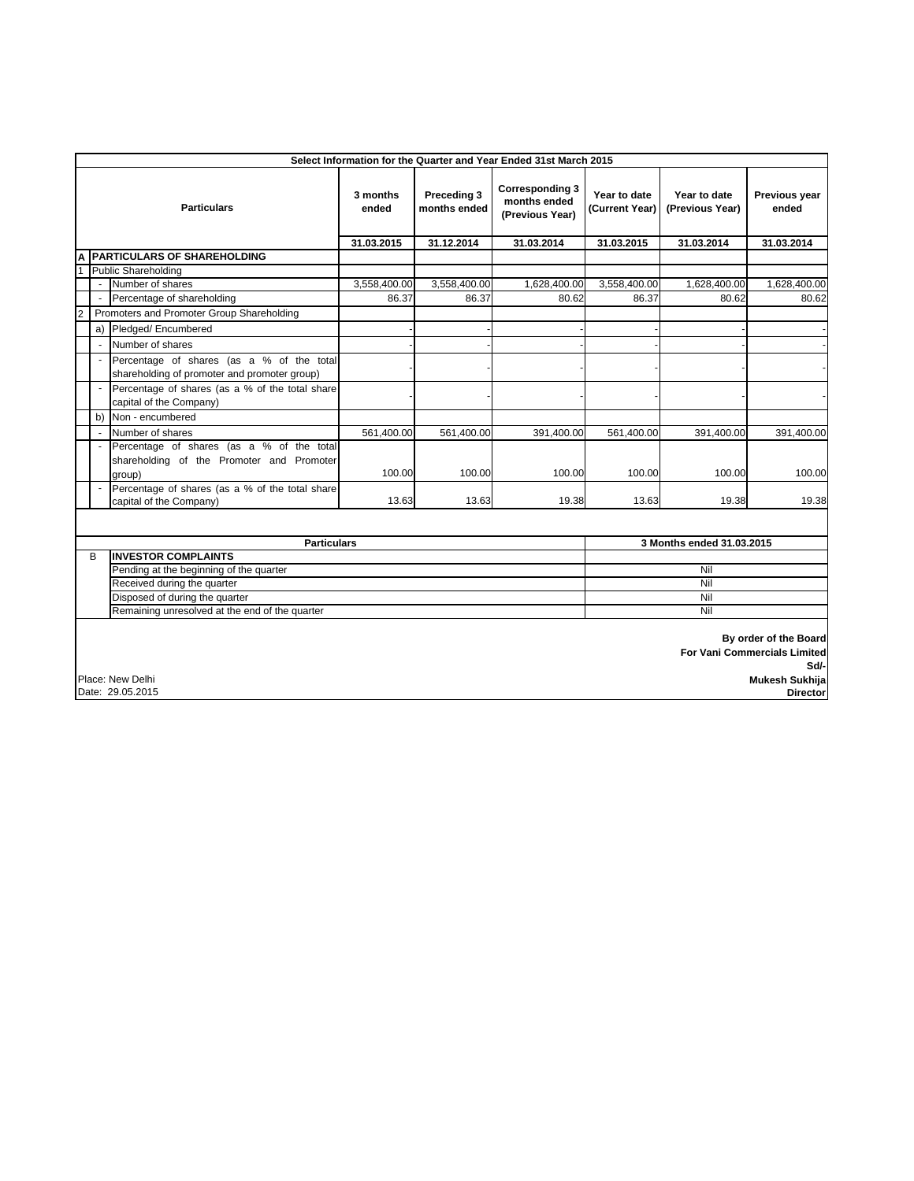|                                                       | Select Information for the Quarter and Year Ended 31st March 2015         |                                                                                                  |                   |                             |                                                           |                                |                                 |                        |
|-------------------------------------------------------|---------------------------------------------------------------------------|--------------------------------------------------------------------------------------------------|-------------------|-----------------------------|-----------------------------------------------------------|--------------------------------|---------------------------------|------------------------|
| <b>Particulars</b>                                    |                                                                           |                                                                                                  | 3 months<br>ended | Preceding 3<br>months ended | <b>Corresponding 3</b><br>months ended<br>(Previous Year) | Year to date<br>(Current Year) | Year to date<br>(Previous Year) | Previous year<br>ended |
|                                                       |                                                                           |                                                                                                  | 31.03.2015        | 31.12.2014                  | 31.03.2014                                                | 31.03.2015                     | 31.03.2014                      | 31.03.2014             |
| Α                                                     |                                                                           | <b>PARTICULARS OF SHAREHOLDING</b>                                                               |                   |                             |                                                           |                                |                                 |                        |
| $\overline{1}$                                        |                                                                           | <b>Public Shareholding</b>                                                                       |                   |                             |                                                           |                                |                                 |                        |
|                                                       |                                                                           | Number of shares                                                                                 | 3,558,400.00      | 3,558,400.00                | 1,628,400.00                                              | 3,558,400.00                   | 1,628,400.00                    | 1,628,400.00           |
|                                                       |                                                                           | Percentage of shareholding                                                                       | 86.37             | 86.37                       | 80.62                                                     | 86.37                          | 80.62                           | 80.62                  |
| $\overline{2}$                                        |                                                                           | Promoters and Promoter Group Shareholding                                                        |                   |                             |                                                           |                                |                                 |                        |
|                                                       | a)                                                                        | Pledged/ Encumbered                                                                              |                   |                             |                                                           |                                |                                 |                        |
|                                                       |                                                                           | Number of shares                                                                                 |                   |                             |                                                           |                                |                                 |                        |
|                                                       | $\blacksquare$                                                            | Percentage of shares (as a % of the total<br>shareholding of promoter and promoter group)        |                   |                             |                                                           |                                |                                 |                        |
|                                                       |                                                                           | Percentage of shares (as a % of the total share<br>capital of the Company)                       |                   |                             |                                                           |                                |                                 |                        |
|                                                       | b)                                                                        | Non - encumbered                                                                                 |                   |                             |                                                           |                                |                                 |                        |
|                                                       |                                                                           | Number of shares                                                                                 | 561,400.00        | 561,400.00                  | 391,400.00                                                | 561,400.00                     | 391,400.00                      | 391,400.00             |
|                                                       |                                                                           | Percentage of shares (as a % of the total<br>shareholding of the Promoter and Promoter<br>qroup) | 100.00            | 100.00                      | 100.00                                                    | 100.00                         | 100.00                          | 100.00                 |
|                                                       |                                                                           | Percentage of shares (as a % of the total share<br>capital of the Company)                       | 13.63             | 13.63                       | 19.38                                                     | 13.63                          | 19.38                           | 19.38                  |
|                                                       |                                                                           |                                                                                                  |                   |                             |                                                           |                                |                                 |                        |
|                                                       | <b>Particulars</b>                                                        |                                                                                                  |                   |                             |                                                           |                                | 3 Months ended 31.03.2015       |                        |
|                                                       | В<br><b>INVESTOR COMPLAINTS</b>                                           |                                                                                                  |                   |                             |                                                           |                                |                                 |                        |
|                                                       | Pending at the beginning of the quarter                                   |                                                                                                  |                   |                             |                                                           |                                | Nil                             |                        |
| Received during the quarter                           |                                                                           |                                                                                                  |                   |                             |                                                           |                                | Nil                             |                        |
| Disposed of during the quarter                        |                                                                           |                                                                                                  |                   |                             |                                                           | Nil                            |                                 |                        |
| Remaining unresolved at the end of the quarter<br>Nil |                                                                           |                                                                                                  |                   |                             |                                                           |                                |                                 |                        |
|                                                       | By order of the Board<br>For Vani Commercials Limited<br>Place: New Delhi |                                                                                                  |                   |                             |                                                           |                                | Sd/-<br>Mukesh Sukhija          |                        |
|                                                       | Date: 29.05.2015<br><b>Director</b>                                       |                                                                                                  |                   |                             |                                                           |                                |                                 |                        |